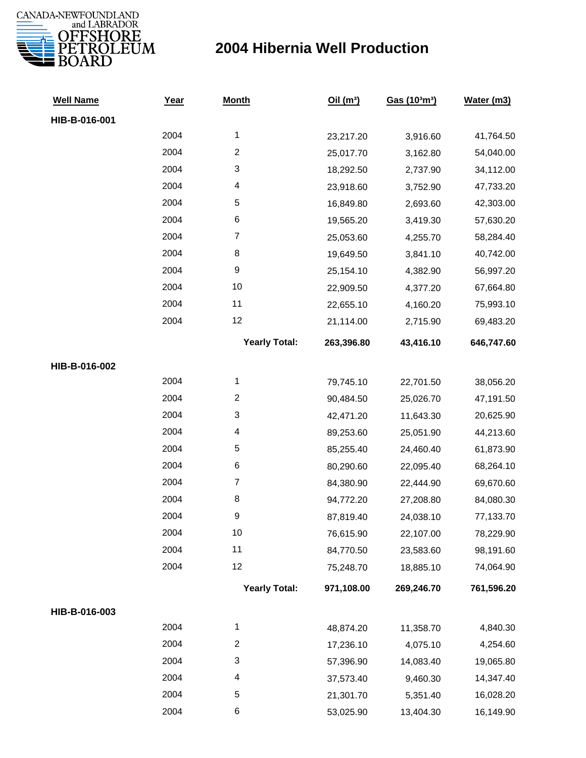

| <b>Well Name</b> | Year | <b>Month</b>            | Oil(m <sup>3</sup> ) | Gas (103m3) | Water (m3) |
|------------------|------|-------------------------|----------------------|-------------|------------|
| HIB-B-016-001    |      |                         |                      |             |            |
|                  | 2004 | $\mathbf{1}$            | 23,217.20            | 3,916.60    | 41,764.50  |
|                  | 2004 | $\overline{c}$          | 25,017.70            | 3,162.80    | 54,040.00  |
|                  | 2004 | 3                       | 18,292.50            | 2,737.90    | 34,112.00  |
|                  | 2004 | 4                       | 23,918.60            | 3,752.90    | 47,733.20  |
|                  | 2004 | 5                       | 16,849.80            | 2,693.60    | 42,303.00  |
|                  | 2004 | 6                       | 19,565.20            | 3,419.30    | 57,630.20  |
|                  | 2004 | $\boldsymbol{7}$        | 25,053.60            | 4,255.70    | 58,284.40  |
|                  | 2004 | 8                       | 19,649.50            | 3,841.10    | 40,742.00  |
|                  | 2004 | 9                       | 25,154.10            | 4,382.90    | 56,997.20  |
|                  | 2004 | 10                      | 22,909.50            | 4,377.20    | 67,664.80  |
|                  | 2004 | 11                      | 22,655.10            | 4,160.20    | 75,993.10  |
|                  | 2004 | 12                      | 21,114.00            | 2,715.90    | 69,483.20  |
|                  |      | <b>Yearly Total:</b>    | 263,396.80           | 43,416.10   | 646,747.60 |
| HIB-B-016-002    |      |                         |                      |             |            |
|                  | 2004 | $\mathbf{1}$            | 79,745.10            | 22,701.50   | 38,056.20  |
|                  | 2004 | $\overline{\mathbf{c}}$ | 90,484.50            | 25,026.70   | 47,191.50  |
|                  | 2004 | 3                       | 42,471.20            | 11,643.30   | 20,625.90  |
|                  | 2004 | 4                       | 89,253.60            | 25,051.90   | 44,213.60  |
|                  | 2004 | 5                       | 85,255.40            | 24,460.40   | 61,873.90  |
|                  | 2004 | 6                       | 80,290.60            | 22,095.40   | 68,264.10  |
|                  | 2004 | $\boldsymbol{7}$        | 84,380.90            | 22,444.90   | 69,670.60  |
|                  | 2004 | 8                       | 94,772.20            | 27,208.80   | 84,080.30  |
|                  | 2004 | 9                       | 87,819.40            | 24,038.10   | 77,133.70  |
|                  | 2004 | 10                      | 76,615.90            | 22,107.00   | 78,229.90  |
|                  | 2004 | 11                      | 84,770.50            | 23,583.60   | 98,191.60  |
|                  | 2004 | 12                      | 75,248.70            | 18,885.10   | 74,064.90  |
|                  |      | <b>Yearly Total:</b>    | 971,108.00           | 269,246.70  | 761,596.20 |
| HIB-B-016-003    |      |                         |                      |             |            |
|                  | 2004 | 1                       | 48,874.20            | 11,358.70   | 4,840.30   |
|                  | 2004 | $\overline{c}$          | 17,236.10            | 4,075.10    | 4,254.60   |
|                  | 2004 | 3                       | 57,396.90            | 14,083.40   | 19,065.80  |
|                  | 2004 | 4                       | 37,573.40            | 9,460.30    | 14,347.40  |
|                  | 2004 | 5                       | 21,301.70            | 5,351.40    | 16,028.20  |
|                  | 2004 | 6                       | 53,025.90            | 13,404.30   | 16,149.90  |
|                  |      |                         |                      |             |            |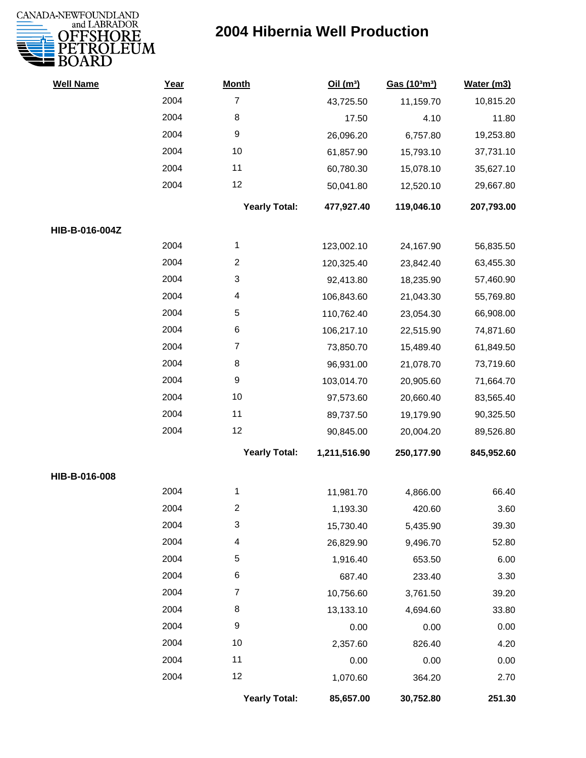

| <b>Well Name</b> | Year | <b>Month</b>              | Oil(m <sup>3</sup> ) | Gas (103m3) | Water (m3) |
|------------------|------|---------------------------|----------------------|-------------|------------|
|                  | 2004 | $\overline{7}$            | 43,725.50            | 11,159.70   | 10,815.20  |
|                  | 2004 | 8                         | 17.50                | 4.10        | 11.80      |
|                  | 2004 | $\boldsymbol{9}$          | 26,096.20            | 6,757.80    | 19,253.80  |
|                  | 2004 | 10                        | 61,857.90            | 15,793.10   | 37,731.10  |
|                  | 2004 | 11                        | 60,780.30            | 15,078.10   | 35,627.10  |
|                  | 2004 | 12                        | 50,041.80            | 12,520.10   | 29,667.80  |
|                  |      | <b>Yearly Total:</b>      | 477,927.40           | 119,046.10  | 207,793.00 |
| HIB-B-016-004Z   |      |                           |                      |             |            |
|                  | 2004 | $\mathbf 1$               | 123,002.10           | 24,167.90   | 56,835.50  |
|                  | 2004 | $\overline{c}$            | 120,325.40           | 23,842.40   | 63,455.30  |
|                  | 2004 | $\mathbf{3}$              | 92,413.80            | 18,235.90   | 57,460.90  |
|                  | 2004 | 4                         | 106,843.60           | 21,043.30   | 55,769.80  |
|                  | 2004 | 5                         | 110,762.40           | 23,054.30   | 66,908.00  |
|                  | 2004 | 6                         | 106,217.10           | 22,515.90   | 74,871.60  |
|                  | 2004 | $\overline{7}$            | 73,850.70            | 15,489.40   | 61,849.50  |
|                  | 2004 | 8                         | 96,931.00            | 21,078.70   | 73,719.60  |
|                  | 2004 | 9                         | 103,014.70           | 20,905.60   | 71,664.70  |
|                  | 2004 | 10                        | 97,573.60            | 20,660.40   | 83,565.40  |
|                  | 2004 | 11                        | 89,737.50            | 19,179.90   | 90,325.50  |
|                  | 2004 | 12                        | 90,845.00            | 20,004.20   | 89,526.80  |
|                  |      | <b>Yearly Total:</b>      | 1,211,516.90         | 250,177.90  | 845,952.60 |
| HIB-B-016-008    |      |                           |                      |             |            |
|                  | 2004 | 1                         | 11,981.70            | 4,866.00    | 66.40      |
|                  | 2004 | 2                         | 1,193.30             | 420.60      | 3.60       |
|                  | 2004 | $\ensuremath{\mathsf{3}}$ | 15,730.40            | 5,435.90    | 39.30      |
|                  | 2004 | 4                         | 26,829.90            | 9,496.70    | 52.80      |
|                  | 2004 | 5                         | 1,916.40             | 653.50      | 6.00       |
|                  | 2004 | 6                         | 687.40               | 233.40      | 3.30       |
|                  | 2004 | $\overline{7}$            | 10,756.60            | 3,761.50    | 39.20      |
|                  | 2004 | 8                         | 13,133.10            | 4,694.60    | 33.80      |
|                  | 2004 | $\boldsymbol{9}$          | 0.00                 | 0.00        | 0.00       |
|                  | 2004 | 10                        | 2,357.60             | 826.40      | 4.20       |
|                  | 2004 | 11                        | 0.00                 | 0.00        | 0.00       |
|                  | 2004 | 12                        | 1,070.60             | 364.20      | 2.70       |
|                  |      | <b>Yearly Total:</b>      | 85,657.00            | 30,752.80   | 251.30     |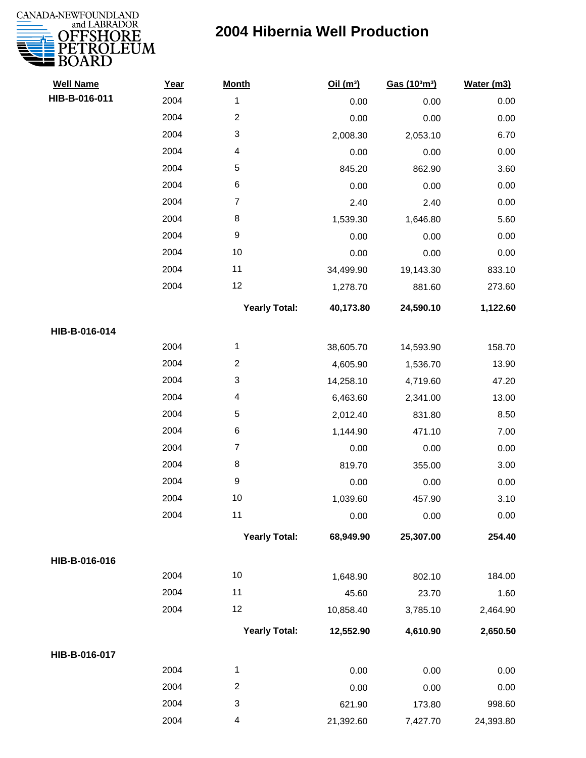

| <b>Well Name</b> | Year | <b>Month</b>            | Oil $(m^3)$ | Gas (103m3) | Water (m3) |
|------------------|------|-------------------------|-------------|-------------|------------|
| HIB-B-016-011    | 2004 | $\mathbf{1}$            | 0.00        | 0.00        | 0.00       |
|                  | 2004 | $\overline{c}$          | 0.00        | 0.00        | 0.00       |
|                  | 2004 | 3                       | 2,008.30    | 2,053.10    | 6.70       |
|                  | 2004 | 4                       | 0.00        | 0.00        | 0.00       |
|                  | 2004 | 5                       | 845.20      | 862.90      | 3.60       |
|                  | 2004 | $\,6$                   | 0.00        | 0.00        | 0.00       |
|                  | 2004 | $\overline{7}$          | 2.40        | 2.40        | 0.00       |
|                  | 2004 | $\bf8$                  | 1,539.30    | 1,646.80    | 5.60       |
|                  | 2004 | 9                       | 0.00        | 0.00        | 0.00       |
|                  | 2004 | 10                      | 0.00        | 0.00        | 0.00       |
|                  | 2004 | 11                      | 34,499.90   | 19,143.30   | 833.10     |
|                  | 2004 | 12                      | 1,278.70    | 881.60      | 273.60     |
|                  |      | <b>Yearly Total:</b>    | 40,173.80   | 24,590.10   | 1,122.60   |
| HIB-B-016-014    |      |                         |             |             |            |
|                  | 2004 | $\mathbf{1}$            | 38,605.70   | 14,593.90   | 158.70     |
|                  | 2004 | $\overline{\mathbf{c}}$ | 4,605.90    | 1,536.70    | 13.90      |
|                  | 2004 | 3                       | 14,258.10   | 4,719.60    | 47.20      |
|                  | 2004 | 4                       | 6,463.60    | 2,341.00    | 13.00      |
|                  | 2004 | $\mathbf 5$             | 2,012.40    | 831.80      | 8.50       |
|                  | 2004 | $\,6$                   | 1,144.90    | 471.10      | 7.00       |
|                  | 2004 | $\overline{7}$          | 0.00        | 0.00        | 0.00       |
|                  | 2004 | $\,8\,$                 | 819.70      | 355.00      | 3.00       |
|                  | 2004 | $\boldsymbol{9}$        | 0.00        | 0.00        | 0.00       |
|                  | 2004 | 10                      | 1,039.60    | 457.90      | 3.10       |
|                  | 2004 | 11                      | 0.00        | 0.00        | 0.00       |
|                  |      | <b>Yearly Total:</b>    | 68,949.90   | 25,307.00   | 254.40     |
| HIB-B-016-016    |      |                         |             |             |            |
|                  | 2004 | 10                      | 1,648.90    | 802.10      | 184.00     |
|                  | 2004 | 11                      | 45.60       | 23.70       | 1.60       |
|                  | 2004 | 12                      | 10,858.40   | 3,785.10    | 2,464.90   |
|                  |      | <b>Yearly Total:</b>    | 12,552.90   | 4,610.90    | 2,650.50   |
| HIB-B-016-017    |      |                         |             |             |            |
|                  | 2004 | $\mathbf{1}$            | 0.00        | 0.00        | 0.00       |
|                  | 2004 | $\overline{c}$          | 0.00        | 0.00        | 0.00       |
|                  | 2004 | 3                       | 621.90      | 173.80      | 998.60     |
|                  | 2004 | 4                       | 21,392.60   | 7,427.70    | 24,393.80  |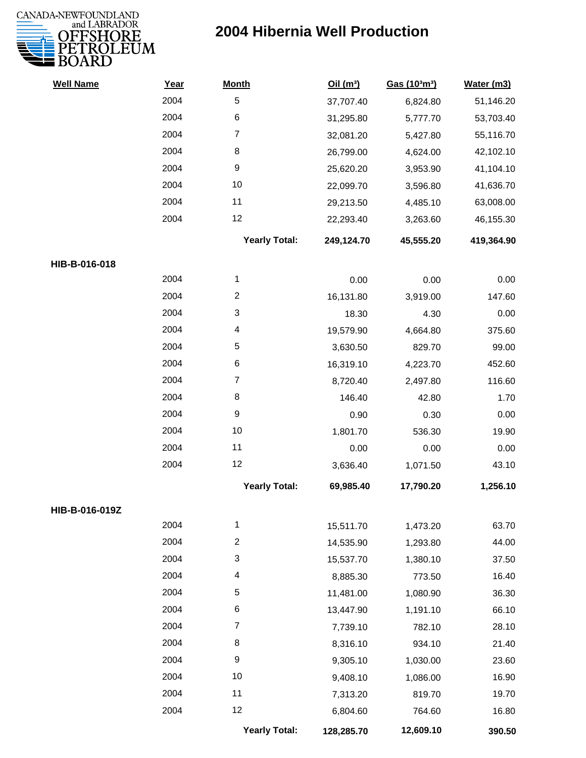

| <b>Well Name</b> | Year | <b>Month</b>         | Oil $(m^3)$ | Gas (103m3) | Water (m3) |
|------------------|------|----------------------|-------------|-------------|------------|
|                  | 2004 | 5                    | 37,707.40   | 6,824.80    | 51,146.20  |
|                  | 2004 | 6                    | 31,295.80   | 5,777.70    | 53,703.40  |
|                  | 2004 | $\overline{7}$       | 32,081.20   | 5,427.80    | 55,116.70  |
|                  | 2004 | 8                    | 26,799.00   | 4,624.00    | 42,102.10  |
|                  | 2004 | 9                    | 25,620.20   | 3,953.90    | 41,104.10  |
|                  | 2004 | 10                   | 22,099.70   | 3,596.80    | 41,636.70  |
|                  | 2004 | 11                   | 29,213.50   | 4,485.10    | 63,008.00  |
|                  | 2004 | 12                   | 22,293.40   | 3,263.60    | 46,155.30  |
|                  |      | <b>Yearly Total:</b> | 249,124.70  | 45,555.20   | 419,364.90 |
| HIB-B-016-018    |      |                      |             |             |            |
|                  | 2004 | 1                    | 0.00        | 0.00        | 0.00       |
|                  | 2004 | $\overline{c}$       | 16,131.80   | 3,919.00    | 147.60     |
|                  | 2004 | 3                    | 18.30       | 4.30        | 0.00       |
|                  | 2004 | 4                    | 19,579.90   | 4,664.80    | 375.60     |
|                  | 2004 | 5                    | 3,630.50    | 829.70      | 99.00      |
|                  | 2004 | 6                    | 16,319.10   | 4,223.70    | 452.60     |
|                  | 2004 | $\overline{7}$       | 8,720.40    | 2,497.80    | 116.60     |
|                  | 2004 | 8                    | 146.40      | 42.80       | 1.70       |
|                  | 2004 | $\boldsymbol{9}$     | 0.90        | 0.30        | 0.00       |
|                  | 2004 | 10                   | 1,801.70    | 536.30      | 19.90      |
|                  | 2004 | 11                   | 0.00        | 0.00        | 0.00       |
|                  | 2004 | 12                   | 3,636.40    | 1,071.50    | 43.10      |
|                  |      | <b>Yearly Total:</b> | 69,985.40   | 17,790.20   | 1,256.10   |
| HIB-B-016-019Z   |      |                      |             |             |            |
|                  | 2004 | 1                    | 15,511.70   | 1,473.20    | 63.70      |
|                  | 2004 | $\overline{c}$       | 14,535.90   | 1,293.80    | 44.00      |
|                  | 2004 | 3                    | 15,537.70   | 1,380.10    | 37.50      |
|                  | 2004 | 4                    | 8,885.30    | 773.50      | 16.40      |
|                  | 2004 | 5                    | 11,481.00   | 1,080.90    | 36.30      |
|                  | 2004 | 6                    | 13,447.90   | 1,191.10    | 66.10      |
|                  | 2004 | 7                    | 7,739.10    | 782.10      | 28.10      |
|                  | 2004 | 8                    | 8,316.10    | 934.10      | 21.40      |
|                  | 2004 | 9                    | 9,305.10    | 1,030.00    | 23.60      |
|                  | 2004 | 10                   | 9,408.10    | 1,086.00    | 16.90      |
|                  | 2004 | 11                   | 7,313.20    | 819.70      | 19.70      |
|                  | 2004 | 12                   | 6,804.60    | 764.60      | 16.80      |
|                  |      | <b>Yearly Total:</b> | 128,285.70  | 12,609.10   | 390.50     |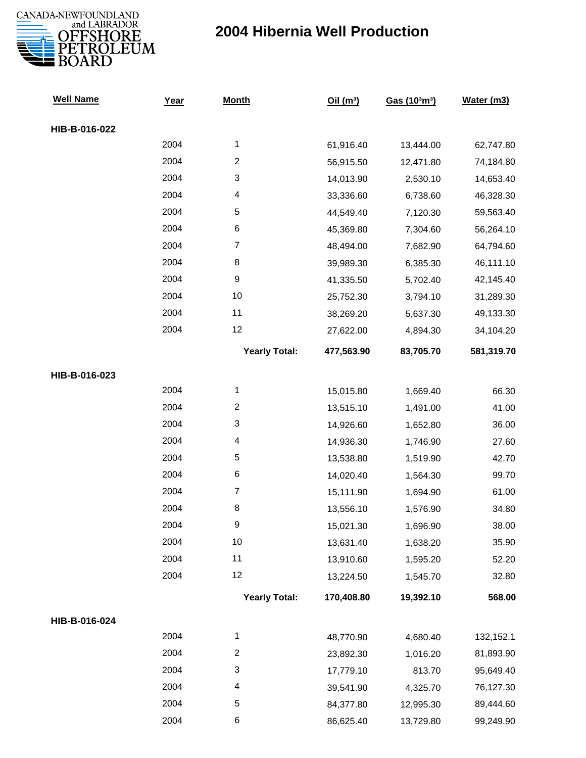

| <b>Well Name</b> | Year | <b>Month</b>         | Oil(m <sup>3</sup> ) | Gas (103m3) | Water (m3) |
|------------------|------|----------------------|----------------------|-------------|------------|
| HIB-B-016-022    |      |                      |                      |             |            |
|                  | 2004 | $\mathbf{1}$         | 61,916.40            | 13,444.00   | 62,747.80  |
|                  | 2004 | $\overline{c}$       | 56,915.50            | 12,471.80   | 74,184.80  |
|                  | 2004 | 3                    | 14,013.90            | 2,530.10    | 14,653.40  |
|                  | 2004 | 4                    | 33,336.60            | 6,738.60    | 46,328.30  |
|                  | 2004 | 5                    | 44,549.40            | 7,120.30    | 59,563.40  |
|                  | 2004 | 6                    | 45,369.80            | 7,304.60    | 56,264.10  |
|                  | 2004 | $\overline{7}$       | 48,494.00            | 7,682.90    | 64,794.60  |
|                  | 2004 | 8                    | 39,989.30            | 6,385.30    | 46,111.10  |
|                  | 2004 | $\boldsymbol{9}$     | 41,335.50            | 5,702.40    | 42,145.40  |
|                  | 2004 | 10                   | 25,752.30            | 3,794.10    | 31,289.30  |
|                  | 2004 | 11                   | 38,269.20            | 5,637.30    | 49,133.30  |
|                  | 2004 | 12                   | 27,622.00            | 4,894.30    | 34,104.20  |
|                  |      | <b>Yearly Total:</b> | 477,563.90           | 83,705.70   | 581,319.70 |
| HIB-B-016-023    |      |                      |                      |             |            |
|                  | 2004 | $\mathbf{1}$         | 15,015.80            | 1,669.40    | 66.30      |
|                  | 2004 | $\overline{2}$       | 13,515.10            | 1,491.00    | 41.00      |
|                  | 2004 | 3                    | 14,926.60            | 1,652.80    | 36.00      |
|                  | 2004 | 4                    | 14,936.30            | 1,746.90    | 27.60      |
|                  | 2004 | 5                    | 13,538.80            | 1,519.90    | 42.70      |
|                  | 2004 | 6                    | 14,020.40            | 1,564.30    | 99.70      |
|                  | 2004 | $\boldsymbol{7}$     | 15,111.90            | 1,694.90    | 61.00      |
|                  | 2004 | 8                    | 13,556.10            | 1,576.90    | 34.80      |
|                  | 2004 | 9                    | 15,021.30            | 1,696.90    | 38.00      |
|                  | 2004 | 10                   | 13,631.40            | 1,638.20    | 35.90      |
|                  | 2004 | 11                   | 13,910.60            | 1,595.20    | 52.20      |
|                  | 2004 | 12                   | 13,224.50            | 1,545.70    | 32.80      |
|                  |      | <b>Yearly Total:</b> | 170,408.80           | 19,392.10   | 568.00     |
| HIB-B-016-024    |      |                      |                      |             |            |
|                  | 2004 | $\mathbf 1$          | 48,770.90            | 4,680.40    | 132,152.1  |
|                  | 2004 | $\overline{2}$       | 23,892.30            | 1,016.20    | 81,893.90  |
|                  | 2004 | 3                    | 17,779.10            | 813.70      | 95,649.40  |
|                  | 2004 | 4                    | 39,541.90            | 4,325.70    | 76,127.30  |
|                  | 2004 | 5                    | 84,377.80            | 12,995.30   | 89,444.60  |
|                  | 2004 | 6                    | 86,625.40            | 13,729.80   | 99,249.90  |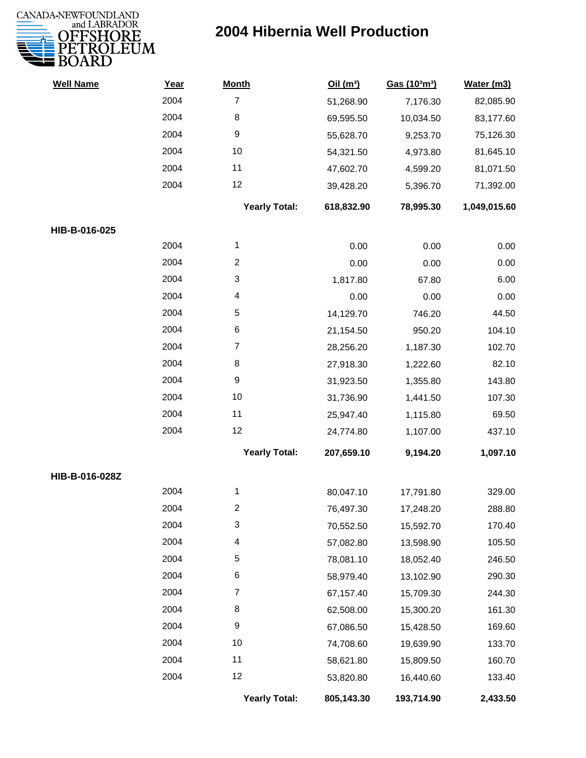

| <b>Well Name</b> | Year | <b>Month</b>         | Oil(m <sup>3</sup> ) | Gas (103m3) | Water (m3)   |
|------------------|------|----------------------|----------------------|-------------|--------------|
|                  | 2004 | $\overline{7}$       | 51,268.90            | 7,176.30    | 82,085.90    |
|                  | 2004 | $\,8\,$              | 69,595.50            | 10,034.50   | 83,177.60    |
|                  | 2004 | $\boldsymbol{9}$     | 55,628.70            | 9,253.70    | 75,126.30    |
|                  | 2004 | 10                   | 54,321.50            | 4,973.80    | 81,645.10    |
|                  | 2004 | 11                   | 47,602.70            | 4,599.20    | 81,071.50    |
|                  | 2004 | 12                   | 39,428.20            | 5,396.70    | 71,392.00    |
|                  |      | <b>Yearly Total:</b> | 618,832.90           | 78,995.30   | 1,049,015.60 |
| HIB-B-016-025    |      |                      |                      |             |              |
|                  | 2004 | 1                    | 0.00                 | 0.00        | 0.00         |
|                  | 2004 | $\overline{c}$       | 0.00                 | 0.00        | 0.00         |
|                  | 2004 | 3                    | 1,817.80             | 67.80       | 6.00         |
|                  | 2004 | 4                    | 0.00                 | 0.00        | 0.00         |
|                  | 2004 | 5                    | 14,129.70            | 746.20      | 44.50        |
|                  | 2004 | 6                    | 21,154.50            | 950.20      | 104.10       |
|                  | 2004 | $\overline{7}$       | 28,256.20            | 1,187.30    | 102.70       |
|                  | 2004 | 8                    | 27,918.30            | 1,222.60    | 82.10        |
|                  | 2004 | 9                    | 31,923.50            | 1,355.80    | 143.80       |
|                  | 2004 | 10                   | 31,736.90            | 1,441.50    | 107.30       |
|                  | 2004 | 11                   | 25,947.40            | 1,115.80    | 69.50        |
|                  | 2004 | 12                   | 24,774.80            | 1,107.00    | 437.10       |
|                  |      | <b>Yearly Total:</b> | 207,659.10           | 9,194.20    | 1,097.10     |
| HIB-B-016-028Z   |      |                      |                      |             |              |
|                  | 2004 | 1                    | 80,047.10            | 17,791.80   | 329.00       |
|                  | 2004 | 2                    | 76,497.30            | 17,248.20   | 288.80       |
|                  | 2004 | 3                    | 70,552.50            | 15,592.70   | 170.40       |
|                  | 2004 | 4                    | 57,082.80            | 13,598.90   | 105.50       |
|                  | 2004 | 5                    | 78,081.10            | 18,052.40   | 246.50       |
|                  | 2004 | 6                    | 58,979.40            | 13,102.90   | 290.30       |
|                  | 2004 | $\overline{7}$       | 67,157.40            | 15,709.30   | 244.30       |
|                  | 2004 | 8                    | 62,508.00            | 15,300.20   | 161.30       |
|                  | 2004 | $\boldsymbol{9}$     | 67,086.50            | 15,428.50   | 169.60       |
|                  | 2004 | 10                   | 74,708.60            | 19,639.90   | 133.70       |
|                  | 2004 | 11                   | 58,621.80            | 15,809.50   | 160.70       |
|                  | 2004 | 12                   | 53,820.80            | 16,440.60   | 133.40       |
|                  |      | <b>Yearly Total:</b> | 805,143.30           | 193,714.90  | 2,433.50     |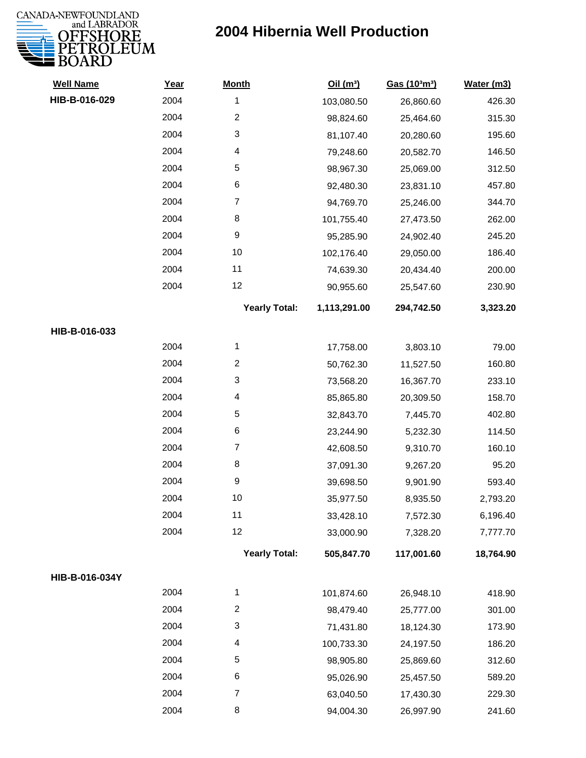

| <b>Well Name</b> | Year | <b>Month</b>         | Oil(m <sup>3</sup> ) | Gas (103m3) | Water (m3) |
|------------------|------|----------------------|----------------------|-------------|------------|
| HIB-B-016-029    | 2004 | $\mathbf{1}$         | 103,080.50           | 26,860.60   | 426.30     |
|                  | 2004 | $\overline{c}$       | 98,824.60            | 25,464.60   | 315.30     |
|                  | 2004 | 3                    | 81,107.40            | 20,280.60   | 195.60     |
|                  | 2004 | 4                    | 79,248.60            | 20,582.70   | 146.50     |
|                  | 2004 | 5                    | 98,967.30            | 25,069.00   | 312.50     |
|                  | 2004 | 6                    | 92,480.30            | 23,831.10   | 457.80     |
|                  | 2004 | $\overline{7}$       | 94,769.70            | 25,246.00   | 344.70     |
|                  | 2004 | 8                    | 101,755.40           | 27,473.50   | 262.00     |
|                  | 2004 | 9                    | 95,285.90            | 24,902.40   | 245.20     |
|                  | 2004 | 10                   | 102,176.40           | 29,050.00   | 186.40     |
|                  | 2004 | 11                   | 74,639.30            | 20,434.40   | 200.00     |
|                  | 2004 | 12                   | 90,955.60            | 25,547.60   | 230.90     |
|                  |      | <b>Yearly Total:</b> | 1,113,291.00         | 294,742.50  | 3,323.20   |
| HIB-B-016-033    |      |                      |                      |             |            |
|                  | 2004 | 1                    | 17,758.00            | 3,803.10    | 79.00      |
|                  | 2004 | $\overline{2}$       | 50,762.30            | 11,527.50   | 160.80     |
|                  | 2004 | 3                    | 73,568.20            | 16,367.70   | 233.10     |
|                  | 2004 | 4                    | 85,865.80            | 20,309.50   | 158.70     |
|                  | 2004 | 5                    | 32,843.70            | 7,445.70    | 402.80     |
|                  | 2004 | 6                    | 23,244.90            | 5,232.30    | 114.50     |
|                  | 2004 | $\overline{7}$       | 42,608.50            | 9,310.70    | 160.10     |
|                  | 2004 | 8                    | 37,091.30            | 9,267.20    | 95.20      |
|                  | 2004 | 9                    | 39,698.50            | 9,901.90    | 593.40     |
|                  | 2004 | 10                   | 35,977.50            | 8,935.50    | 2,793.20   |
|                  | 2004 | 11                   | 33,428.10            | 7,572.30    | 6,196.40   |
|                  | 2004 | 12                   | 33,000.90            | 7,328.20    | 7,777.70   |
|                  |      | <b>Yearly Total:</b> | 505,847.70           | 117,001.60  | 18,764.90  |
| HIB-B-016-034Y   |      |                      |                      |             |            |
|                  | 2004 | 1                    | 101,874.60           | 26,948.10   | 418.90     |
|                  | 2004 | $\overline{c}$       | 98,479.40            | 25,777.00   | 301.00     |
|                  | 2004 | 3                    | 71,431.80            | 18,124.30   | 173.90     |
|                  | 2004 | 4                    | 100,733.30           | 24,197.50   | 186.20     |
|                  | 2004 | 5                    | 98,905.80            | 25,869.60   | 312.60     |
|                  | 2004 | 6                    | 95,026.90            | 25,457.50   | 589.20     |
|                  | 2004 | $\overline{7}$       | 63,040.50            | 17,430.30   | 229.30     |
|                  | 2004 | 8                    | 94,004.30            | 26,997.90   | 241.60     |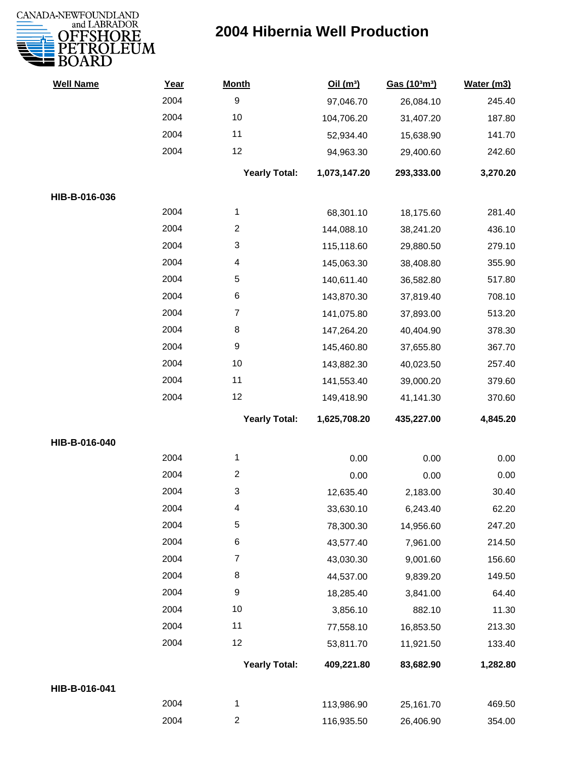

| <b>Well Name</b> | Year | <b>Month</b>         | Oil(m <sup>3</sup> ) | Gas (103m3) | Water (m3) |
|------------------|------|----------------------|----------------------|-------------|------------|
|                  | 2004 | $\boldsymbol{9}$     | 97,046.70            | 26,084.10   | 245.40     |
|                  | 2004 | 10                   | 104,706.20           | 31,407.20   | 187.80     |
|                  | 2004 | 11                   | 52,934.40            | 15,638.90   | 141.70     |
|                  | 2004 | 12                   | 94,963.30            | 29,400.60   | 242.60     |
|                  |      | <b>Yearly Total:</b> | 1,073,147.20         | 293,333.00  | 3,270.20   |
| HIB-B-016-036    |      |                      |                      |             |            |
|                  | 2004 | 1                    | 68,301.10            | 18,175.60   | 281.40     |
|                  | 2004 | $\overline{2}$       | 144,088.10           | 38,241.20   | 436.10     |
|                  | 2004 | 3                    | 115,118.60           | 29,880.50   | 279.10     |
|                  | 2004 | 4                    | 145,063.30           | 38,408.80   | 355.90     |
|                  | 2004 | $\sqrt{5}$           | 140,611.40           | 36,582.80   | 517.80     |
|                  | 2004 | $\,6$                | 143,870.30           | 37,819.40   | 708.10     |
|                  | 2004 | $\overline{7}$       | 141,075.80           | 37,893.00   | 513.20     |
|                  | 2004 | 8                    | 147,264.20           | 40,404.90   | 378.30     |
|                  | 2004 | $\boldsymbol{9}$     | 145,460.80           | 37,655.80   | 367.70     |
|                  | 2004 | 10                   | 143,882.30           | 40,023.50   | 257.40     |
|                  | 2004 | 11                   | 141,553.40           | 39,000.20   | 379.60     |
|                  | 2004 | 12                   | 149,418.90           | 41,141.30   | 370.60     |
|                  |      | <b>Yearly Total:</b> | 1,625,708.20         | 435,227.00  | 4,845.20   |
| HIB-B-016-040    |      |                      |                      |             |            |
|                  | 2004 | 1                    | 0.00                 | 0.00        | 0.00       |
|                  | 2004 | $\overline{2}$       | 0.00                 | 0.00        | 0.00       |
|                  | 2004 | 3                    | 12,635.40            | 2,183.00    | 30.40      |
|                  | 2004 | 4                    | 33,630.10            | 6,243.40    | 62.20      |
|                  | 2004 | 5                    | 78,300.30            | 14,956.60   | 247.20     |
|                  | 2004 | 6                    | 43,577.40            | 7,961.00    | 214.50     |
|                  | 2004 | $\overline{7}$       | 43,030.30            | 9,001.60    | 156.60     |
|                  | 2004 | 8                    | 44,537.00            | 9,839.20    | 149.50     |
|                  | 2004 | $\boldsymbol{9}$     | 18,285.40            | 3,841.00    | 64.40      |
|                  | 2004 | 10                   | 3,856.10             | 882.10      | 11.30      |
|                  | 2004 | 11                   | 77,558.10            | 16,853.50   | 213.30     |
|                  | 2004 | 12                   | 53,811.70            | 11,921.50   | 133.40     |
|                  |      | <b>Yearly Total:</b> | 409,221.80           | 83,682.90   | 1,282.80   |
| HIB-B-016-041    |      |                      |                      |             |            |
|                  | 2004 | 1                    | 113,986.90           | 25,161.70   | 469.50     |
|                  | 2004 | $\overline{c}$       | 116,935.50           | 26,406.90   | 354.00     |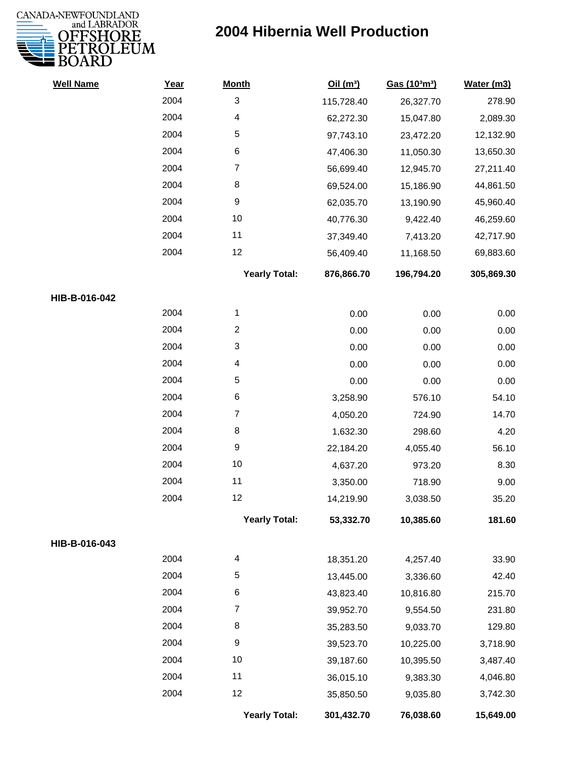

| <b>Well Name</b> | Year | <b>Month</b>         | Oil(m <sup>3</sup> ) | Gas (103m3) | Water (m3) |
|------------------|------|----------------------|----------------------|-------------|------------|
|                  | 2004 | 3                    | 115,728.40           | 26,327.70   | 278.90     |
|                  | 2004 | 4                    | 62,272.30            | 15,047.80   | 2,089.30   |
|                  | 2004 | 5                    | 97,743.10            | 23,472.20   | 12,132.90  |
|                  | 2004 | 6                    | 47,406.30            | 11,050.30   | 13,650.30  |
|                  | 2004 | 7                    | 56,699.40            | 12,945.70   | 27,211.40  |
|                  | 2004 | 8                    | 69,524.00            | 15,186.90   | 44,861.50  |
|                  | 2004 | 9                    | 62,035.70            | 13,190.90   | 45,960.40  |
|                  | 2004 | 10                   | 40,776.30            | 9,422.40    | 46,259.60  |
|                  | 2004 | 11                   | 37,349.40            | 7,413.20    | 42,717.90  |
|                  | 2004 | 12                   | 56,409.40            | 11,168.50   | 69,883.60  |
|                  |      | <b>Yearly Total:</b> | 876,866.70           | 196,794.20  | 305,869.30 |
| HIB-B-016-042    |      |                      |                      |             |            |
|                  | 2004 | 1                    | 0.00                 | 0.00        | 0.00       |
|                  | 2004 | $\overline{c}$       | 0.00                 | 0.00        | 0.00       |
|                  | 2004 | 3                    | 0.00                 | 0.00        | 0.00       |
|                  | 2004 | 4                    | 0.00                 | 0.00        | 0.00       |
|                  | 2004 | 5                    | 0.00                 | 0.00        | 0.00       |
|                  | 2004 | 6                    | 3,258.90             | 576.10      | 54.10      |
|                  | 2004 | $\overline{7}$       | 4,050.20             | 724.90      | 14.70      |
|                  | 2004 | 8                    | 1,632.30             | 298.60      | 4.20       |
|                  | 2004 | 9                    | 22,184.20            | 4,055.40    | 56.10      |
|                  | 2004 | 10                   | 4,637.20             | 973.20      | 8.30       |
|                  | 2004 | 11                   | 3,350.00             | 718.90      | 9.00       |
|                  | 2004 | 12                   | 14,219.90            | 3,038.50    | 35.20      |
|                  |      | <b>Yearly Total:</b> | 53,332.70            | 10,385.60   | 181.60     |
| HIB-B-016-043    |      |                      |                      |             |            |
|                  | 2004 | 4                    | 18,351.20            | 4,257.40    | 33.90      |
|                  | 2004 | 5                    | 13,445.00            | 3,336.60    | 42.40      |
|                  | 2004 | 6                    | 43,823.40            | 10,816.80   | 215.70     |
|                  | 2004 | 7                    | 39,952.70            | 9,554.50    | 231.80     |
|                  | 2004 | 8                    | 35,283.50            | 9,033.70    | 129.80     |
|                  | 2004 | 9                    | 39,523.70            | 10,225.00   | 3,718.90   |
|                  | 2004 | 10                   | 39,187.60            | 10,395.50   | 3,487.40   |
|                  | 2004 | 11                   | 36,015.10            | 9,383.30    | 4,046.80   |
|                  | 2004 | 12                   | 35,850.50            | 9,035.80    | 3,742.30   |
|                  |      | <b>Yearly Total:</b> | 301,432.70           | 76,038.60   | 15,649.00  |